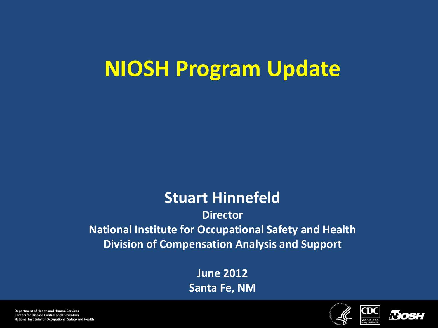# **NIOSH Program Update**

## **Stuart Hinnefeld**

**Director National Institute for Occupational Safety and Health Division of Compensation Analysis and Support**

> **June 2012 Santa Fe, NM**



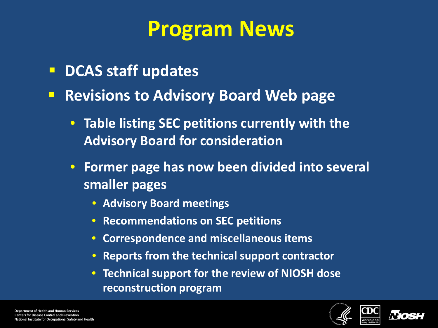# **Program News**

- **P** DCAS staff updates
- **Revisions to Advisory Board Web page** 
	- **Table listing SEC petitions currently with the Advisory Board for consideration**
	- **Former page has now been divided into several smaller pages**
		- **Advisory Board meetings**
		- **Recommendations on SEC petitions**
		- **Correspondence and miscellaneous items**
		- **Reports from the technical support contractor**
		- **Technical support for the review of NIOSH dose reconstruction program**



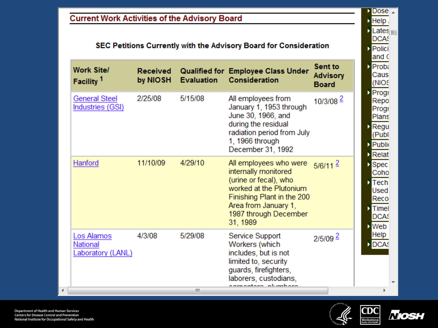### **Current Work Activities of the Advisory Board**

#### SEC Petitions Currently with the Advisory Board for Consideration

| <b>Work Site/</b><br>Facility <sup>1</sup>  | <b>Received</b><br>by NIOSH | <b>Evaluation</b> | Qualified for Employee Class Under<br><b>Consideration</b>                                                                                                                                    | Sent to<br><b>Advisory</b><br><b>Board</b> |
|---------------------------------------------|-----------------------------|-------------------|-----------------------------------------------------------------------------------------------------------------------------------------------------------------------------------------------|--------------------------------------------|
| <b>General Steel</b><br>Industries (GSI)    | 2/25/08                     | 5/15/08           | All employees from<br>January 1, 1953 through<br>June 30, 1966, and<br>during the residual<br>radiation period from July<br>1, 1966 through<br>December 31, 1992                              | $10/3/08^2$                                |
| Hanford                                     | 11/10/09                    | 4/29/10           | All employees who were<br>internally monitored<br>(urine or fecal), who<br>worked at the Plutonium<br>Finishing Plant in the 200<br>Area from January 1,<br>1987 through December<br>31, 1989 | $5/6/11^{2}$                               |
| Los Alamos<br>National<br>Laboratory (LANL) | 4/3/08                      | 5/29/08           | Service Support<br>Workers (which<br>includes, but is not<br>limited to, security<br>guards, firefighters,<br>laborers, custodians,<br>nh mahara                                              | $2/5/09$ $\stackrel{2}{\sim}$              |

 $D$  Dose  $\lambda$  $\triangleright$  Help.  $\blacksquare$  Lates $\blacksquare$ DCAS **Polici** and C **D** Proba Caus (NIOS **D** Progr Repo Progr Plans **D** Regu (Publ **Public D** Relat **Spec** Coho  $\triangleright$  Tech Used Reco  $\triangleright$  Timel **DCAS N** Web Help D DCAS  $\overline{\nabla}$ 

 $\blacktriangleleft$ 





Þ.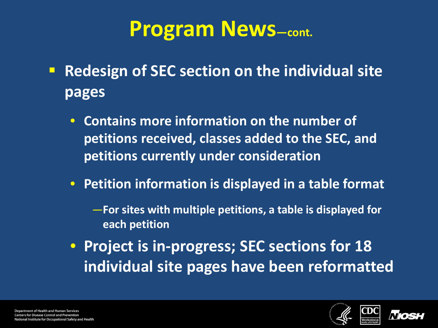## **Program News—cont.**

- **Redesign of SEC section on the individual site pages**
	- **Contains more information on the number of petitions received, classes added to the SEC, and petitions currently under consideration**
	- **Petition information is displayed in a table format**
		- —**For sites with multiple petitions, a table is displayed for each petition**
	- **Project is in-progress; SEC sections for 18 individual site pages have been reformatted**



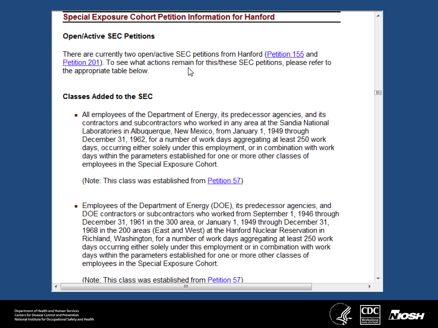### **Open/Active SEC Petitions**

There are currently two open/active SEC petitions from Hanford (Petition 155 and Petition 201). To see what actions remain for this/these SEC petitions, please refer to the appropriate table below. ペ

### **Classes Added to the SEC**

All employees of the Department of Energy, its predecessor agencies, and its contractors and subcontractors who worked in any area at the Sandia National Laboratories in Albuquerque, New Mexico, from January 1, 1949 through December 31, 1962, for a number of work days aggregating at least 250 work days, occurring either solely under this employment, or in combination with work days within the parameters established for one or more other classes of employees in the Special Exposure Cohort.

(Note: This class was established from Petition 57)

Employees of the Department of Energy (DOE), its predecessor agencies, and DOE contractors or subcontractors who worked from September 1, 1946 through December 31, 1961 in the 300 area, or January 1, 1949 through December 31, 1968 in the 200 areas (East and West) at the Hanford Nuclear Reservation in Richland, Washington, for a number of work days aggregating at least 250 work days occurring either solely under this employment or in combination with work davs within the parameters established for one or more other classes of employees in the Special Exposure Cohort.

(Note: This class was established from Petition 57) m.





三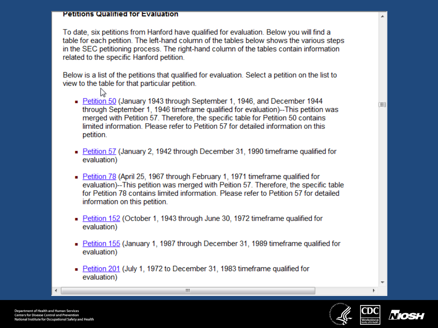#### **Petitions Qualified for Evaluation**

To date, six petitions from Hanford have qualified for evaluation. Below you will find a table for each petition. The left-hand column of the tables below shows the various steps in the SEC petitioning process. The right-hand column of the tables contain information related to the specific Hanford petition.

Below is a list of the petitions that qualified for evaluation. Select a petition on the list to view to the table for that particular petition.

- 
- Petition 50 (January 1943 through September 1, 1946, and December 1944 through September 1, 1946 timeframe qualified for evaluation)--This petition was merged with Petition 57. Therefore, the specific table for Petition 50 contains limited information. Please refer to Petition 57 for detailed information on this petition.
- Petition 57 (January 2, 1942 through December 31, 1990 timeframe qualified for evaluation)
- Petition 78 (April 25, 1967 through February 1, 1971 time frame qualified for evaluation)--This petition was merged with Peition 57. Therefore, the specific table for Petition 78 contains limited information. Please refer to Petition 57 for detailed information on this petition.
- Petition 152 (October 1, 1943 through June 30, 1972 time frame qualified for evaluation)
- Petition 155 (January 1, 1987 through December 31, 1989 timeframe qualified for evaluation)
- Petition 201 (July 1, 1972 to December 31, 1983 time frame qualified for evaluation)

Ш





 $\overline{\phantom{a}}$ 

ΈÌ

**Department of Health and Human Services Centers for Disease Control and Prevention** National Institute for Occupational Safety and Health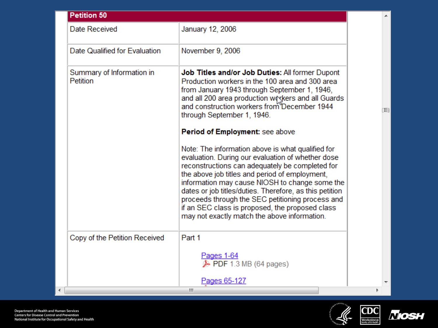| <b>Petition 50</b>                    |                                                                                                                                                                                                                                                                                                                                                                                                                                                                                                                    |  |
|---------------------------------------|--------------------------------------------------------------------------------------------------------------------------------------------------------------------------------------------------------------------------------------------------------------------------------------------------------------------------------------------------------------------------------------------------------------------------------------------------------------------------------------------------------------------|--|
| Date Received                         | January 12, 2006                                                                                                                                                                                                                                                                                                                                                                                                                                                                                                   |  |
| Date Qualified for Evaluation         | November 9, 2006                                                                                                                                                                                                                                                                                                                                                                                                                                                                                                   |  |
| Summary of Information in<br>Petition | Job Titles and/or Job Duties: All former Dupont<br>Production workers in the 100 area and 300 area<br>from January 1943 through September 1, 1946,<br>and all 200 area production we where and all Guards<br>and construction workers from December 1944<br>through September 1, 1946.                                                                                                                                                                                                                             |  |
|                                       | Period of Employment: see above<br>Note: The information above is what qualified for<br>evaluation. During our evaluation of whether dose<br>reconstructions can adequately be completed for<br>the above job titles and period of employment,<br>information may cause NIOSH to change some the<br>dates or job titles/duties. Therefore, as this petition<br>proceeds through the SEC petitioning process and<br>if an SEC class is proposed, the proposed class<br>may not exactly match the above information. |  |
| Copy of the Petition Received         | Part 1                                                                                                                                                                                                                                                                                                                                                                                                                                                                                                             |  |
|                                       | Pages 1-64<br>$\triangleright$ PDF 1.3 MB (64 pages)                                                                                                                                                                                                                                                                                                                                                                                                                                                               |  |
|                                       | <u>Pages 65-127</u>                                                                                                                                                                                                                                                                                                                                                                                                                                                                                                |  |

4





 $\overline{\phantom{a}}$ 

 $\blacktriangle$ 

(三)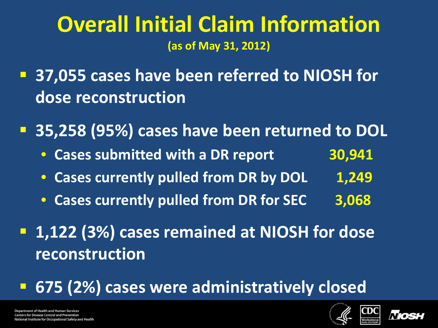## **Overall Initial Claim Information (as of May 31, 2012)**

 **37,055 cases have been referred to NIOSH for dose reconstruction**

**35,258 (95%) cases have been returned to DOL**

- **Cases submitted with a DR report 30,941**
- Cases currently pulled from DR by DOL 1,249
- **Cases currently pulled from DR for SEC 3,068**
- **1,122 (3%) cases remained at NIOSH for dose reconstruction**

**675 (2%) cases were administratively closed**



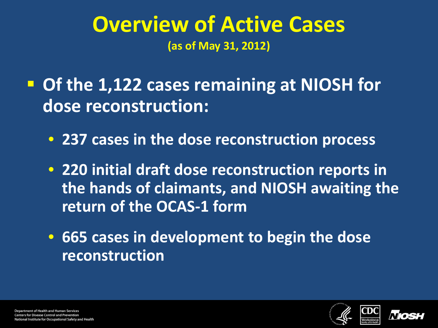## **Overview of Active Cases (as of May 31, 2012)**

 **Of the 1,122 cases remaining at NIOSH for dose reconstruction:**

- **237 cases in the dose reconstruction process**
- **220 initial draft dose reconstruction reports in the hands of claimants, and NIOSH awaiting the return of the OCAS-1 form**
- **665 cases in development to begin the dose reconstruction**



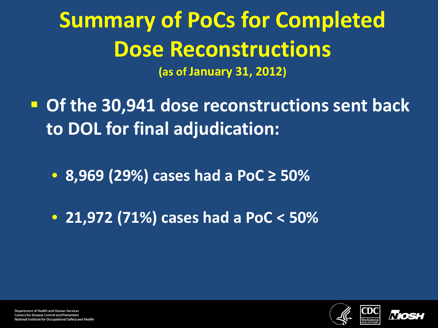# **Summary of PoCs for Completed Dose Reconstructions**

**(as of January 31, 2012)**

- **Of the 30,941 dose reconstructions sent back to DOL for final adjudication:**
	- **8,969 (29%) cases had a PoC ≥ 50%**
	- **21,972 (71%) cases had a PoC < 50%**



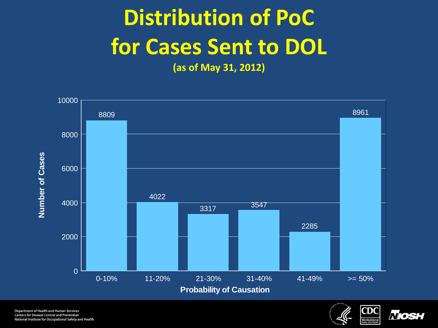# **Distribution of PoC for Cases Sent to DOL**

**(as of May 31, 2012)**



Department of Health and Human Services **Centers for Disease Control and Prevention** National Institute for Occupational Safety and Health



*Niosi*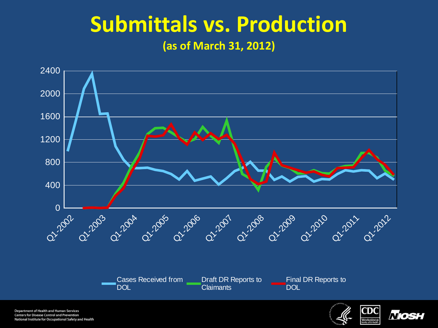## **Submittals vs. Production (as of March 31, 2012)**



Department of Health and Human Services **Centers for Disease Control and Prevention** National Institute for Occupational Safety and Health



*Nosi*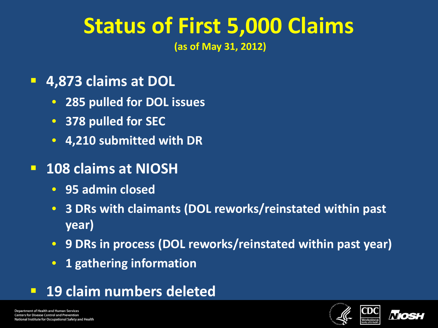# **Status of First 5,000 Claims**

**(as of May 31, 2012)** 

### **4,873 claims at DOL**

- **285 pulled for DOL issues**
- **378 pulled for SEC**
- **4,210 submitted with DR**

## **108 claims at NIOSH**

- **95 admin closed**
- **3 DRs with claimants (DOL reworks/reinstated within past year)**
- **9 DRs in process (DOL reworks/reinstated within past year)**
- **1 gathering information**
- **19 claim numbers deleted**



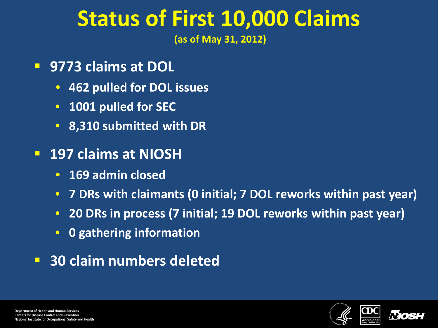# **Status of First 10,000 Claims**

**(as of May 31, 2012)** 

- **9773 claims at DOL**
	- **462 pulled for DOL issues**
	- **1001 pulled for SEC**
	- **8,310 submitted with DR**
- **197 claims at NIOSH**
	- **169 admin closed**
	- **7 DRs with claimants (0 initial; 7 DOL reworks within past year)**
	- **20 DRs in process (7 initial; 19 DOL reworks within past year)**
	- **0 gathering information**
- **30 claim numbers deleted**



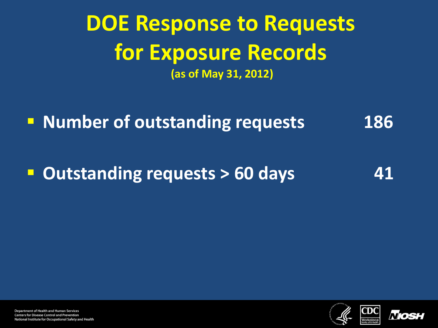## **DOE Response to Requests for Exposure Records (as of May 31, 2012)**

**Number of outstanding requests** 186

**Dutstanding requests > 60 days** 41



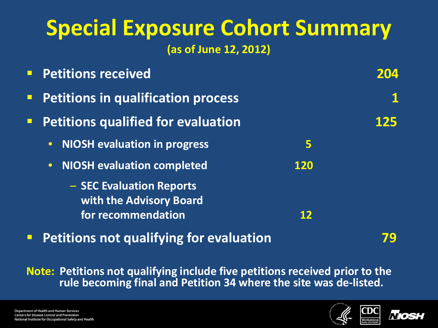## **Special Exposure Cohort Summary (as of June 12, 2012)**

| <b>Petitions received</b>                           |            |     |  |  |
|-----------------------------------------------------|------------|-----|--|--|
| <b>Petitions in qualification process</b>           |            |     |  |  |
| <b>Petitions qualified for evaluation</b>           |            | 125 |  |  |
| <b>NIOSH evaluation in progress</b><br>$\bullet$    | 5          |     |  |  |
| <b>NIOSH evaluation completed</b><br>$\bullet$      | <b>120</b> |     |  |  |
| - SEC Evaluation Reports<br>with the Advisory Board |            |     |  |  |
| for recommendation                                  | 12         |     |  |  |

**Petitions not qualifying for evaluation Petitions 19** 

**Note: Petitions not qualifying include five petitions received prior to the rule becoming final and Petition 34 where the site was de-listed.** 



N/O